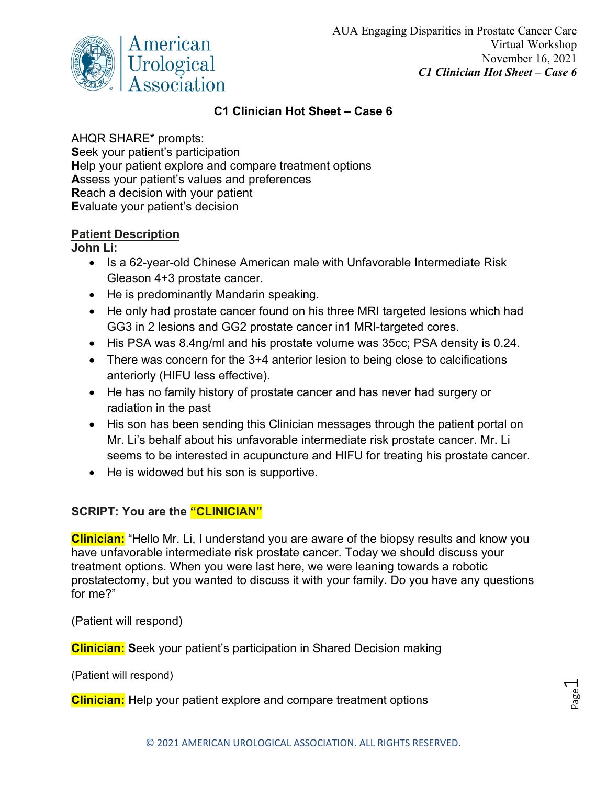

## **C1 Clinician Hot Sheet – Case 6**

## AHQR SHARE\* prompts:

**S**eek your patient's participation **H**elp your patient explore and compare treatment options **A**ssess your patient's values and preferences **R**each a decision with your patient **E**valuate your patient's decision

## **Patient Description**

**John Li:** 

- Is a 62-year-old Chinese American male with Unfavorable Intermediate Risk Gleason 4+3 prostate cancer.
- He is predominantly Mandarin speaking.
- He only had prostate cancer found on his three MRI targeted lesions which had GG3 in 2 lesions and GG2 prostate cancer in1 MRI-targeted cores.
- His PSA was 8.4ng/ml and his prostate volume was 35cc; PSA density is 0.24.
- There was concern for the 3+4 anterior lesion to being close to calcifications anteriorly (HIFU less effective).
- He has no family history of prostate cancer and has never had surgery or radiation in the past
- His son has been sending this Clinician messages through the patient portal on Mr. Li's behalf about his unfavorable intermediate risk prostate cancer. Mr. Li seems to be interested in acupuncture and HIFU for treating his prostate cancer.
- He is widowed but his son is supportive.

## **SCRIPT: You are the "CLINICIAN"**

**Clinician:** "Hello Mr. Li, I understand you are aware of the biopsy results and know you have unfavorable intermediate risk prostate cancer. Today we should discuss your treatment options. When you were last here, we were leaning towards a robotic prostatectomy, but you wanted to discuss it with your family. Do you have any questions for me?"

(Patient will respond)

**Clinician: S**eek your patient's participation in Shared Decision making

(Patient will respond)

**Clinician: H**elp your patient explore and compare treatment options